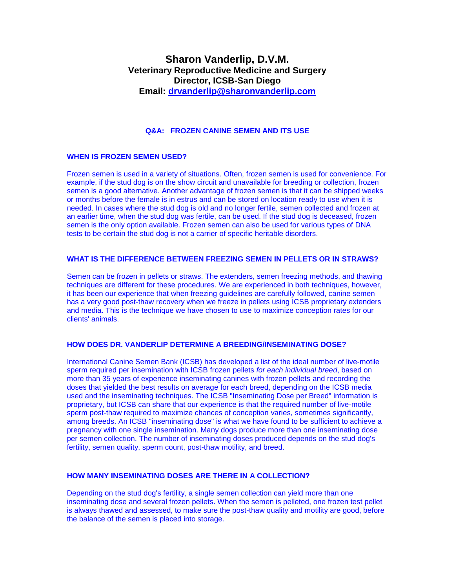# **Sharon Vanderlip, D.V.M. Veterinary Reproductive Medicine and Surgery Director, ICSB-San Diego Email: [drvanderlip@sharonvanderlip.com](mailto:drvanderlip@sharonvanderlip.com)**

# **Q&A: FROZEN CANINE SEMEN AND ITS USE**

# **WHEN IS FROZEN SEMEN USED?**

Frozen semen is used in a variety of situations. Often, frozen semen is used for convenience. For example, if the stud dog is on the show circuit and unavailable for breeding or collection, frozen semen is a good alternative. Another advantage of frozen semen is that it can be shipped weeks or months before the female is in estrus and can be stored on location ready to use when it is needed. In cases where the stud dog is old and no longer fertile, semen collected and frozen at an earlier time, when the stud dog was fertile, can be used. If the stud dog is deceased, frozen semen is the only option available. Frozen semen can also be used for various types of DNA tests to be certain the stud dog is not a carrier of specific heritable disorders.

#### **WHAT IS THE DIFFERENCE BETWEEN FREEZING SEMEN IN PELLETS OR IN STRAWS?**

Semen can be frozen in pellets or straws. The extenders, semen freezing methods, and thawing techniques are different for these procedures. We are experienced in both techniques, however, it has been our experience that when freezing guidelines are carefully followed, canine semen has a very good post-thaw recovery when we freeze in pellets using ICSB proprietary extenders and media. This is the technique we have chosen to use to maximize conception rates for our clients' animals.

## **HOW DOES DR. VANDERLIP DETERMINE A BREEDING/INSEMINATING DOSE?**

International Canine Semen Bank (ICSB) has developed a list of the ideal number of live-motile sperm required per insemination with ICSB frozen pellets *for each individual breed*, based on more than 35 years of experience inseminating canines with frozen pellets and recording the doses that yielded the best results on average for each breed, depending on the ICSB media used and the inseminating techniques. The ICSB "Inseminating Dose per Breed" information is proprietary, but ICSB can share that our experience is that the required number of live-motile sperm post-thaw required to maximize chances of conception varies, sometimes significantly, among breeds. An ICSB "inseminating dose" is what we have found to be sufficient to achieve a pregnancy with one single insemination. Many dogs produce more than one inseminating dose per semen collection. The number of inseminating doses produced depends on the stud dog's fertility, semen quality, sperm count, post-thaw motility, and breed.

# **HOW MANY INSEMINATING DOSES ARE THERE IN A COLLECTION?**

Depending on the stud dog's fertility, a single semen collection can yield more than one inseminating dose and several frozen pellets. When the semen is pelleted, one frozen test pellet is always thawed and assessed, to make sure the post-thaw quality and motility are good, before the balance of the semen is placed into storage.